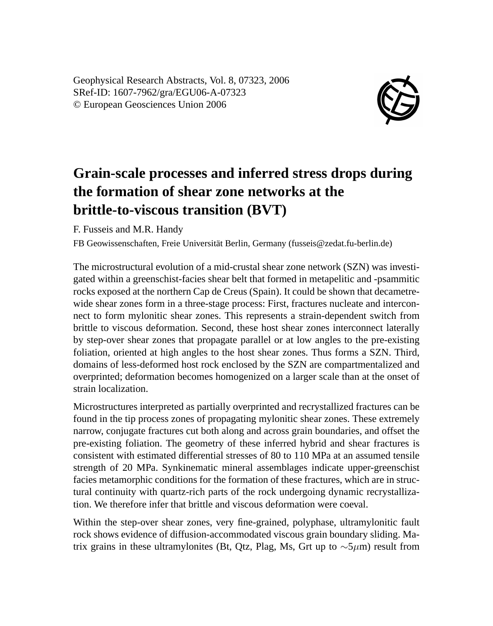Geophysical Research Abstracts, Vol. 8, 07323, 2006 SRef-ID: 1607-7962/gra/EGU06-A-07323 © European Geosciences Union 2006



## **Grain-scale processes and inferred stress drops during the formation of shear zone networks at the brittle-to-viscous transition (BVT)**

F. Fusseis and M.R. Handy

FB Geowissenschaften, Freie Universität Berlin, Germany (fusseis@zedat.fu-berlin.de)

The microstructural evolution of a mid-crustal shear zone network (SZN) was investigated within a greenschist-facies shear belt that formed in metapelitic and -psammitic rocks exposed at the northern Cap de Creus (Spain). It could be shown that decametrewide shear zones form in a three-stage process: First, fractures nucleate and interconnect to form mylonitic shear zones. This represents a strain-dependent switch from brittle to viscous deformation. Second, these host shear zones interconnect laterally by step-over shear zones that propagate parallel or at low angles to the pre-existing foliation, oriented at high angles to the host shear zones. Thus forms a SZN. Third, domains of less-deformed host rock enclosed by the SZN are compartmentalized and overprinted; deformation becomes homogenized on a larger scale than at the onset of strain localization.

Microstructures interpreted as partially overprinted and recrystallized fractures can be found in the tip process zones of propagating mylonitic shear zones. These extremely narrow, conjugate fractures cut both along and across grain boundaries, and offset the pre-existing foliation. The geometry of these inferred hybrid and shear fractures is consistent with estimated differential stresses of 80 to 110 MPa at an assumed tensile strength of 20 MPa. Synkinematic mineral assemblages indicate upper-greenschist facies metamorphic conditions for the formation of these fractures, which are in structural continuity with quartz-rich parts of the rock undergoing dynamic recrystallization. We therefore infer that brittle and viscous deformation were coeval.

Within the step-over shear zones, very fine-grained, polyphase, ultramylonitic fault rock shows evidence of diffusion-accommodated viscous grain boundary sliding. Matrix grains in these ultramylonites (Bt, Qtz, Plag, Ms, Grt up to  $\sim$ 5µm) result from